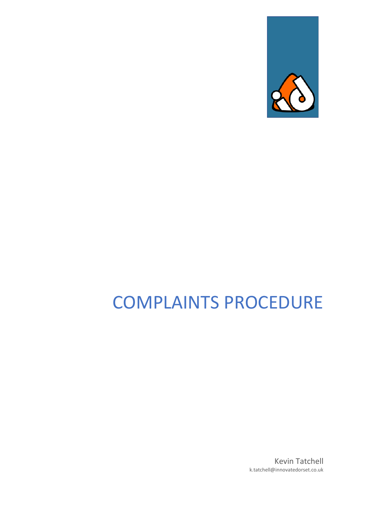

# COMPLAINTS PROCEDURE

Kevin Tatchell k.tatchell@innovatedorset.co.uk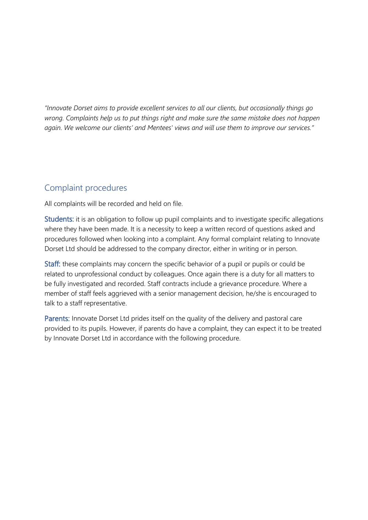*"Innovate Dorset aims to provide excellent services to all our clients, but occasionally things go wrong. Complaints help us to put things right and make sure the same mistake does not happen again. We welcome our clients' and Mentees' views and will use them to improve our services."*

### Complaint procedures

All complaints will be recorded and held on file.

Students: it is an obligation to follow up pupil complaints and to investigate specific allegations where they have been made. It is a necessity to keep a written record of questions asked and procedures followed when looking into a complaint. Any formal complaint relating to Innovate Dorset Ltd should be addressed to the company director, either in writing or in person.

Staff: these complaints may concern the specific behavior of a pupil or pupils or could be related to unprofessional conduct by colleagues. Once again there is a duty for all matters to be fully investigated and recorded. Staff contracts include a grievance procedure. Where a member of staff feels aggrieved with a senior management decision, he/she is encouraged to talk to a staff representative.

Parents: Innovate Dorset Ltd prides itself on the quality of the delivery and pastoral care provided to its pupils. However, if parents do have a complaint, they can expect it to be treated by Innovate Dorset Ltd in accordance with the following procedure.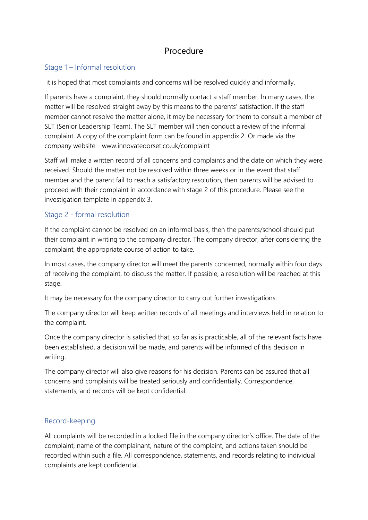## Procedure

#### Stage 1 – Informal resolution

it is hoped that most complaints and concerns will be resolved quickly and informally.

If parents have a complaint, they should normally contact a staff member. In many cases, the matter will be resolved straight away by this means to the parents' satisfaction. If the staff member cannot resolve the matter alone, it may be necessary for them to consult a member of SLT (Senior Leadership Team). The SLT member will then conduct a review of the informal complaint. A copy of the complaint form can be found in appendix 2. Or made via the company website - www.innovatedorset.co.uk/complaint

Staff will make a written record of all concerns and complaints and the date on which they were received. Should the matter not be resolved within three weeks or in the event that staff member and the parent fail to reach a satisfactory resolution, then parents will be advised to proceed with their complaint in accordance with stage 2 of this procedure. Please see the investigation template in appendix 3.

#### Stage 2 - formal resolution

If the complaint cannot be resolved on an informal basis, then the parents/school should put their complaint in writing to the company director. The company director, after considering the complaint, the appropriate course of action to take.

In most cases, the company director will meet the parents concerned, normally within four days of receiving the complaint, to discuss the matter. If possible, a resolution will be reached at this stage.

It may be necessary for the company director to carry out further investigations.

The company director will keep written records of all meetings and interviews held in relation to the complaint.

Once the company director is satisfied that, so far as is practicable, all of the relevant facts have been established, a decision will be made, and parents will be informed of this decision in writing.

The company director will also give reasons for his decision. Parents can be assured that all concerns and complaints will be treated seriously and confidentially. Correspondence, statements, and records will be kept confidential.

#### Record-keeping

All complaints will be recorded in a locked file in the company director's office. The date of the complaint, name of the complainant, nature of the complaint, and actions taken should be recorded within such a file. All correspondence, statements, and records relating to individual complaints are kept confidential.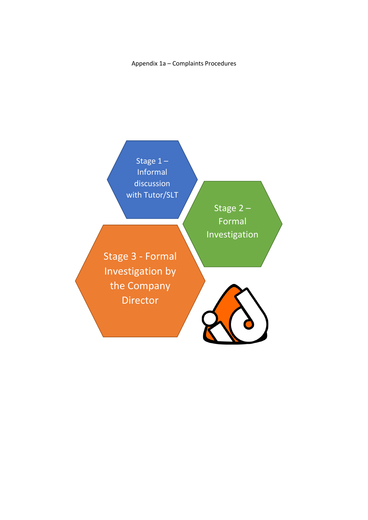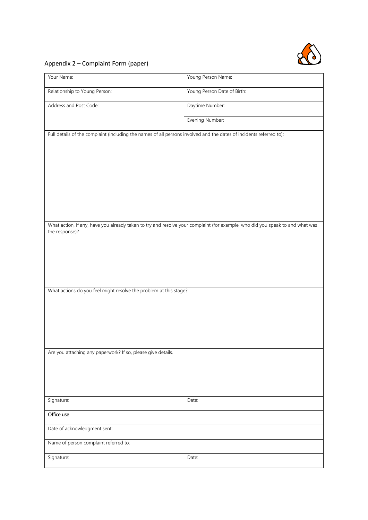

#### Appendix 2 – Complaint Form (paper)

| Your Name:                                                                                                          | Young Person Name:                                                                                                            |  |
|---------------------------------------------------------------------------------------------------------------------|-------------------------------------------------------------------------------------------------------------------------------|--|
| Relationship to Young Person:                                                                                       | Young Person Date of Birth:                                                                                                   |  |
| Address and Post Code:                                                                                              | Daytime Number:                                                                                                               |  |
|                                                                                                                     | Evening Number:                                                                                                               |  |
| Full details of the complaint (including the names of all persons involved and the dates of incidents referred to): |                                                                                                                               |  |
|                                                                                                                     |                                                                                                                               |  |
|                                                                                                                     |                                                                                                                               |  |
|                                                                                                                     |                                                                                                                               |  |
|                                                                                                                     |                                                                                                                               |  |
|                                                                                                                     |                                                                                                                               |  |
|                                                                                                                     | What action, if any, have you already taken to try and resolve your complaint (for example, who did you speak to and what was |  |
| the response)?                                                                                                      |                                                                                                                               |  |
|                                                                                                                     |                                                                                                                               |  |
|                                                                                                                     |                                                                                                                               |  |
|                                                                                                                     |                                                                                                                               |  |
| What actions do you feel might resolve the problem at this stage?                                                   |                                                                                                                               |  |
|                                                                                                                     |                                                                                                                               |  |
|                                                                                                                     |                                                                                                                               |  |
|                                                                                                                     |                                                                                                                               |  |
| Are you attaching any paperwork? If so, please give details.                                                        |                                                                                                                               |  |
|                                                                                                                     |                                                                                                                               |  |
|                                                                                                                     |                                                                                                                               |  |
| Signature:                                                                                                          | Date:                                                                                                                         |  |
| Office use                                                                                                          |                                                                                                                               |  |
| Date of acknowledgment sent:                                                                                        |                                                                                                                               |  |
| Name of person complaint referred to:                                                                               |                                                                                                                               |  |
| Signature:                                                                                                          | Date:                                                                                                                         |  |
|                                                                                                                     |                                                                                                                               |  |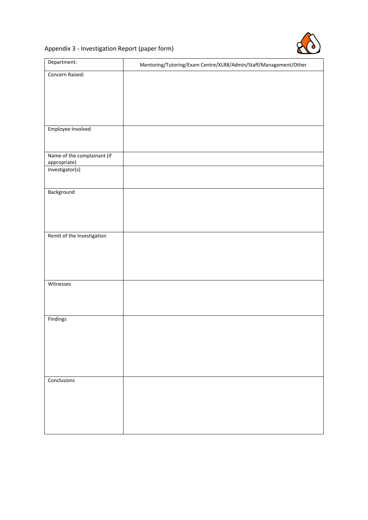

#### Appendix 3 - Investigation Report (paper form)

| Department:                 | Mentoring/Tutoring/Exam Centre/XLR8/Admin/Staff/Management/Other |
|-----------------------------|------------------------------------------------------------------|
| Concern Raised:             |                                                                  |
|                             |                                                                  |
|                             |                                                                  |
|                             |                                                                  |
|                             |                                                                  |
|                             |                                                                  |
|                             |                                                                  |
| Employee Involved           |                                                                  |
|                             |                                                                  |
|                             |                                                                  |
| Name of the complainant (if |                                                                  |
| appropriate)                |                                                                  |
| Investigator(s)             |                                                                  |
|                             |                                                                  |
| Background                  |                                                                  |
|                             |                                                                  |
|                             |                                                                  |
|                             |                                                                  |
|                             |                                                                  |
| Remit of the Investigation  |                                                                  |
|                             |                                                                  |
|                             |                                                                  |
|                             |                                                                  |
|                             |                                                                  |
|                             |                                                                  |
| Witnesses                   |                                                                  |
|                             |                                                                  |
|                             |                                                                  |
|                             |                                                                  |
| Findings                    |                                                                  |
|                             |                                                                  |
|                             |                                                                  |
|                             |                                                                  |
|                             |                                                                  |
|                             |                                                                  |
|                             |                                                                  |
|                             |                                                                  |
| Conclusions                 |                                                                  |
|                             |                                                                  |
|                             |                                                                  |
|                             |                                                                  |
|                             |                                                                  |
|                             |                                                                  |
|                             |                                                                  |